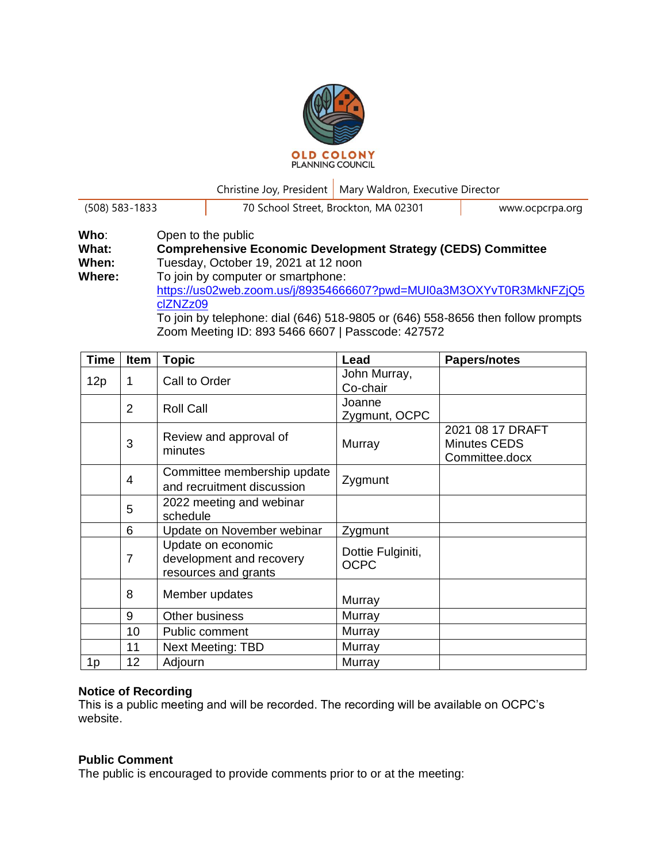

Christine Joy, President | Mary Waldron, Executive Director

| $(508) 583 - 1833$ | 70 School Street, Brockton, MA 02301                                                                      | www.ocpcrpa.org |  |
|--------------------|-----------------------------------------------------------------------------------------------------------|-----------------|--|
| Who:<br>What:      | Open to the public<br><b>Comprehensive Economic Development Strategy (CEDS) Committee</b>                 |                 |  |
| When:              | Tuesday, October 19, 2021 at 12 noon                                                                      |                 |  |
| Where:             | To join by computer or smartphone:<br>https://us02web.zoom.us/i/893546666072pwd=MLII0a3M3OXYyT0R3MkNFZiO5 |                 |  |

[https://us02web.zoom.us/j/89354666607?pwd=MUI0a3M3OXYvT0R3MkNFZjQ5](https://us02web.zoom.us/j/89354666607?pwd=MUI0a3M3OXYvT0R3MkNFZjQ5clZNZz09) [clZNZz09](https://us02web.zoom.us/j/89354666607?pwd=MUI0a3M3OXYvT0R3MkNFZjQ5clZNZz09) To join by telephone: dial (646) 518-9805 or (646) 558-8656 then follow prompts

Zoom Meeting ID: 893 5466 6607 | Passcode: 427572

| <b>Time</b> | Item           | <b>Topic</b>                                                           | Lead                             | Papers/notes                                              |
|-------------|----------------|------------------------------------------------------------------------|----------------------------------|-----------------------------------------------------------|
| 12p         | 1              | Call to Order                                                          | John Murray,<br>Co-chair         |                                                           |
|             | $\overline{2}$ | <b>Roll Call</b>                                                       | Joanne<br>Zygmunt, OCPC          |                                                           |
|             | 3              | Review and approval of<br>minutes                                      | Murray                           | 2021 08 17 DRAFT<br><b>Minutes CEDS</b><br>Committee.docx |
|             | 4              | Committee membership update<br>and recruitment discussion              | Zygmunt                          |                                                           |
|             | 5              | 2022 meeting and webinar<br>schedule                                   |                                  |                                                           |
|             | 6              | Update on November webinar                                             | Zygmunt                          |                                                           |
|             | $\overline{7}$ | Update on economic<br>development and recovery<br>resources and grants | Dottie Fulginiti,<br><b>OCPC</b> |                                                           |
|             | 8              | Member updates                                                         | Murray                           |                                                           |
|             | 9              | Other business                                                         | Murray                           |                                                           |
|             | 10             | Public comment                                                         | Murray                           |                                                           |
|             | 11             | <b>Next Meeting: TBD</b>                                               | Murray                           |                                                           |
| 1p          | 12             | Adjourn                                                                | Murray                           |                                                           |

## **Notice of Recording**

This is a public meeting and will be recorded. The recording will be available on OCPC's website.

## **Public Comment**

The public is encouraged to provide comments prior to or at the meeting: